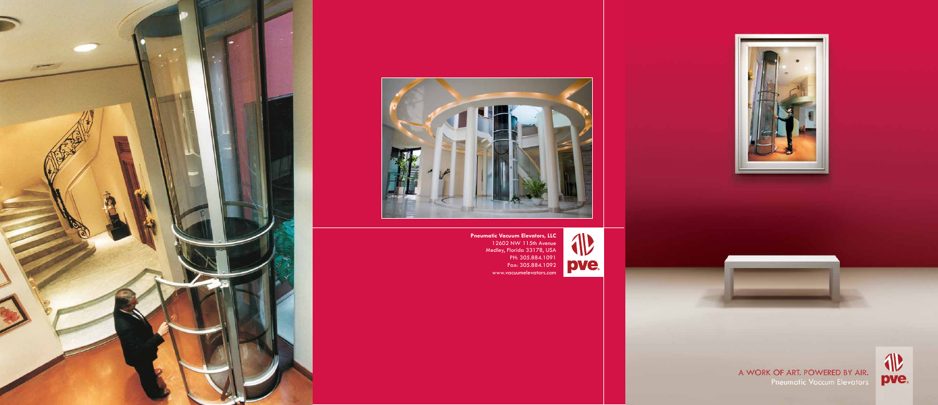



Pneumatic Vacuum Elevators, LLC<br>
12602 NW 115th Avenue<br>
Medley, Florida 33178, USA<br>
PH: 305.884.1091<br>
Fax: 305.884.1092<br>
www.vacuumelevators.com



A WORK OF ART. POWERED BY AIR.<br>Prieumatic Vaccum Elevators